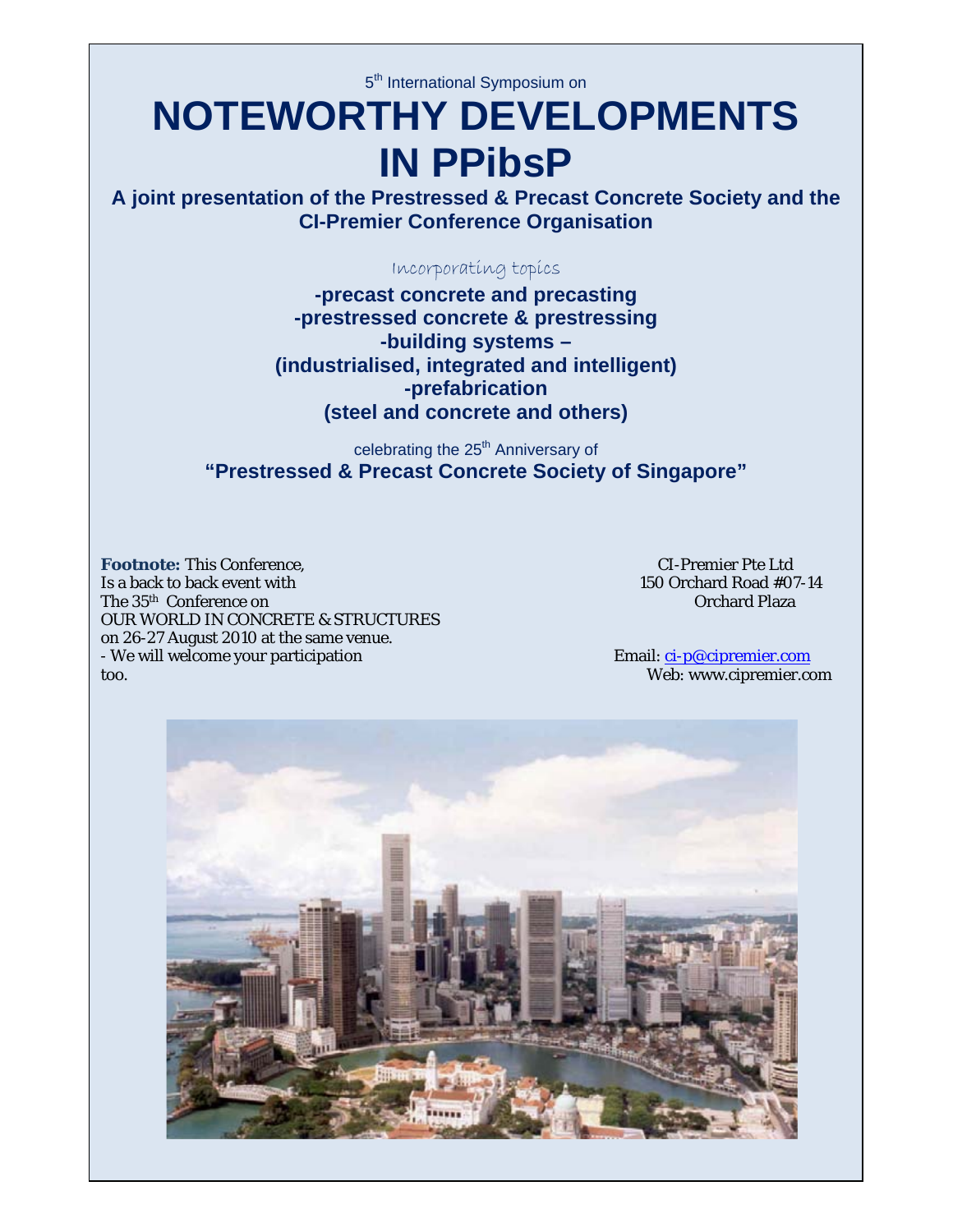5<sup>th</sup> International Symposium on

# **NOTEWORTHY DEVELOPMENTS IN PPibsP**

**A joint presentation of the Prestressed & Precast Concrete Society and the CI-Premier Conference Organisation** 

Incorporating topics

**-precast concrete and precasting -prestressed concrete & prestressing -building systems – (industrialised, integrated and intelligent) -prefabrication (steel and concrete and others)** 

celebrating the 25<sup>th</sup> Anniversary of **"Prestressed & Precast Concrete Society of Singapore"** 

**Footnote:** This Conference,<br>
Is a back to back event with the state of the contract of the contract of the contract of the contract of the contract of the contract of the contract of the contract of the contract of the co Is a back to back event with 150 Orchard Road #07<br>
The 35<sup>th</sup> Conference on Creating Contact Contact Contact Contact Contact Contact Contact Contact Contact Contact Contact Contact Contact Contact Contact Contact Contact C The 35<sup>th</sup> Conference on OUR WORLD IN CONCRETE & STRUCTURES on 26-27 August 2010 at the same venue. - We will welcome your participation Email: ci-p@cipremier.com too. Web: www.cipremier.com